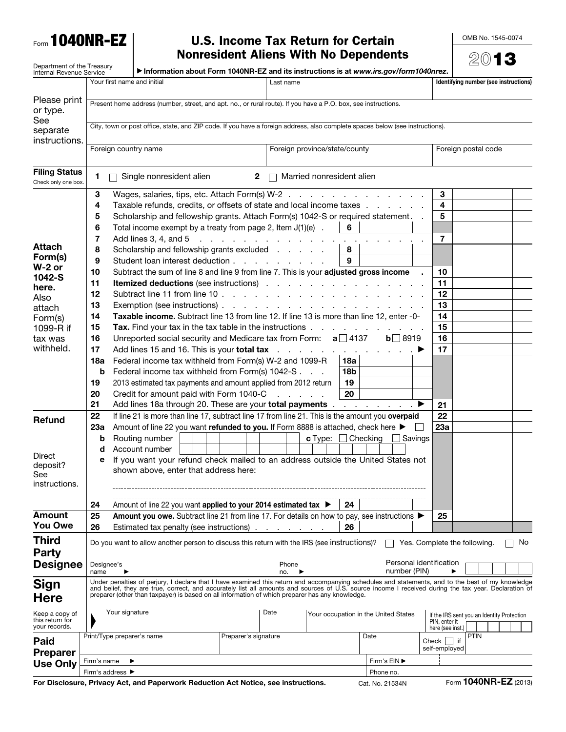Form 1040NR-EZ

## U.S. Income Tax Return for Certain Nonresident Aliens With No Dependents

OMB No. 1545-0074

|                                                        |                                                                                                                |                                                                                                                                                                                                                                                                                                                                                                                                              | <b>Nonresident Aliens With No Dependents</b>                                          |                               |                                                                           |                |                          |                                                                                 |         |  |  |
|--------------------------------------------------------|----------------------------------------------------------------------------------------------------------------|--------------------------------------------------------------------------------------------------------------------------------------------------------------------------------------------------------------------------------------------------------------------------------------------------------------------------------------------------------------------------------------------------------------|---------------------------------------------------------------------------------------|-------------------------------|---------------------------------------------------------------------------|----------------|--------------------------|---------------------------------------------------------------------------------|---------|--|--|
| Department of the Treasury<br>Internal Revenue Service |                                                                                                                |                                                                                                                                                                                                                                                                                                                                                                                                              | Information about Form 1040NR-EZ and its instructions is at www.irs.gov/form1040nrez. |                               |                                                                           |                |                          |                                                                                 | $20$ 13 |  |  |
|                                                        |                                                                                                                | Your first name and initial                                                                                                                                                                                                                                                                                                                                                                                  |                                                                                       | Last name                     |                                                                           |                |                          | Identifying number (see instructions)                                           |         |  |  |
| Please print<br>or type.                               | Present home address (number, street, and apt. no., or rural route). If you have a P.O. box, see instructions. |                                                                                                                                                                                                                                                                                                                                                                                                              |                                                                                       |                               |                                                                           |                |                          |                                                                                 |         |  |  |
| See<br>separate<br>instructions.                       |                                                                                                                | City, town or post office, state, and ZIP code. If you have a foreign address, also complete spaces below (see instructions).                                                                                                                                                                                                                                                                                |                                                                                       |                               |                                                                           |                |                          |                                                                                 |         |  |  |
|                                                        | Foreign country name                                                                                           |                                                                                                                                                                                                                                                                                                                                                                                                              |                                                                                       | Foreign province/state/county |                                                                           |                | Foreign postal code      |                                                                                 |         |  |  |
| <b>Filing Status</b><br>Check only one box.            | 1                                                                                                              | Single nonresident alien                                                                                                                                                                                                                                                                                                                                                                                     | $\mathbf{2}$                                                                          |                               | Married nonresident alien                                                 |                |                          |                                                                                 |         |  |  |
|                                                        | 3                                                                                                              | Wages, salaries, tips, etc. Attach Form(s) W-2                                                                                                                                                                                                                                                                                                                                                               |                                                                                       |                               |                                                                           |                | 3                        |                                                                                 |         |  |  |
|                                                        | 4                                                                                                              | Taxable refunds, credits, or offsets of state and local income taxes                                                                                                                                                                                                                                                                                                                                         |                                                                                       |                               |                                                                           |                | 4                        |                                                                                 |         |  |  |
|                                                        | 5                                                                                                              | Scholarship and fellowship grants. Attach Form(s) 1042-S or required statement.                                                                                                                                                                                                                                                                                                                              |                                                                                       |                               |                                                                           |                | 5<br>$\mathbf{r}$        |                                                                                 |         |  |  |
|                                                        | 6                                                                                                              | Total income exempt by a treaty from page 2, Item $J(1)(e)$ .                                                                                                                                                                                                                                                                                                                                                |                                                                                       |                               | 6                                                                         |                |                          |                                                                                 |         |  |  |
|                                                        | 7                                                                                                              | Add lines 3, 4, and 5                                                                                                                                                                                                                                                                                                                                                                                        | the companies of the companies of the companies of                                    |                               |                                                                           |                | 7                        |                                                                                 |         |  |  |
| <b>Attach</b><br>Form(s)                               | 8                                                                                                              | Scholarship and fellowship grants excluded                                                                                                                                                                                                                                                                                                                                                                   |                                                                                       |                               | 8                                                                         |                |                          |                                                                                 |         |  |  |
| $W-2$ or                                               | 9                                                                                                              | Student loan interest deduction                                                                                                                                                                                                                                                                                                                                                                              |                                                                                       |                               | 9                                                                         |                |                          |                                                                                 |         |  |  |
| $1042-S$                                               | 10                                                                                                             | Subtract the sum of line 8 and line 9 from line 7. This is your adjusted gross income                                                                                                                                                                                                                                                                                                                        |                                                                                       |                               |                                                                           |                | 10                       |                                                                                 |         |  |  |
| here.                                                  | 11                                                                                                             |                                                                                                                                                                                                                                                                                                                                                                                                              |                                                                                       |                               |                                                                           |                | 11                       |                                                                                 |         |  |  |
| Also                                                   | 12                                                                                                             | Subtract line 11 from line 10                                                                                                                                                                                                                                                                                                                                                                                |                                                                                       |                               |                                                                           |                | 12<br>13                 |                                                                                 |         |  |  |
| attach                                                 | 13<br>Taxable income. Subtract line 13 from line 12. If line 13 is more than line 12, enter -0-                |                                                                                                                                                                                                                                                                                                                                                                                                              |                                                                                       |                               |                                                                           |                |                          |                                                                                 |         |  |  |
| Form(s)<br>1099-R if                                   | 14<br>15                                                                                                       | Tax. Find your tax in the tax table in the instructions                                                                                                                                                                                                                                                                                                                                                      |                                                                                       |                               |                                                                           |                | 14<br>15                 |                                                                                 |         |  |  |
| tax was                                                | 16                                                                                                             | Unreported social security and Medicare tax from Form: $a$ 137                                                                                                                                                                                                                                                                                                                                               |                                                                                       |                               |                                                                           | $b \Box 8919$  | 16                       |                                                                                 |         |  |  |
| withheld.                                              | 17                                                                                                             | Add lines 15 and 16. This is your total tax                                                                                                                                                                                                                                                                                                                                                                  |                                                                                       |                               | $\mathcal{A}$ , and $\mathcal{A}$ , and $\mathcal{A}$ , and $\mathcal{A}$ |                | 17                       |                                                                                 |         |  |  |
|                                                        | 18a                                                                                                            | Federal income tax withheld from Form(s) W-2 and 1099-R                                                                                                                                                                                                                                                                                                                                                      |                                                                                       |                               | 18a                                                                       |                |                          |                                                                                 |         |  |  |
|                                                        | b                                                                                                              | Federal income tax withheld from Form(s) 1042-S                                                                                                                                                                                                                                                                                                                                                              |                                                                                       |                               | 18b                                                                       |                |                          |                                                                                 |         |  |  |
|                                                        | 19                                                                                                             | 19<br>2013 estimated tax payments and amount applied from 2012 return                                                                                                                                                                                                                                                                                                                                        |                                                                                       |                               |                                                                           |                |                          |                                                                                 |         |  |  |
|                                                        | 20                                                                                                             | 20<br>Credit for amount paid with Form 1040-C<br>and a straight and                                                                                                                                                                                                                                                                                                                                          |                                                                                       |                               |                                                                           |                |                          |                                                                                 |         |  |  |
|                                                        | 21                                                                                                             |                                                                                                                                                                                                                                                                                                                                                                                                              |                                                                                       |                               |                                                                           |                | 21                       |                                                                                 |         |  |  |
| <b>Refund</b>                                          | 22                                                                                                             | If line 21 is more than line 17, subtract line 17 from line 21. This is the amount you overpaid                                                                                                                                                                                                                                                                                                              |                                                                                       |                               |                                                                           |                | 22                       |                                                                                 |         |  |  |
|                                                        | 23а                                                                                                            | Amount of line 22 you want refunded to you. If Form 8888 is attached, check here ▶                                                                                                                                                                                                                                                                                                                           |                                                                                       |                               |                                                                           |                | 23a                      |                                                                                 |         |  |  |
|                                                        | b                                                                                                              | Routing number                                                                                                                                                                                                                                                                                                                                                                                               |                                                                                       |                               | <b>c</b> Type: $\Box$ Checking                                            | $\Box$ Savings |                          |                                                                                 |         |  |  |
| Direct                                                 | Account number<br>d                                                                                            |                                                                                                                                                                                                                                                                                                                                                                                                              |                                                                                       |                               |                                                                           |                |                          |                                                                                 |         |  |  |
| deposit?<br>See<br>instructions.                       | е                                                                                                              | If you want your refund check mailed to an address outside the United States not<br>shown above, enter that address here:                                                                                                                                                                                                                                                                                    |                                                                                       |                               |                                                                           |                |                          |                                                                                 |         |  |  |
|                                                        | 24                                                                                                             | Amount of line 22 you want applied to your 2014 estimated tax ▶                                                                                                                                                                                                                                                                                                                                              |                                                                                       |                               | 24                                                                        |                |                          |                                                                                 |         |  |  |
| <b>Amount</b>                                          | 25                                                                                                             | Amount you owe. Subtract line 21 from line 17. For details on how to pay, see instructions ▶                                                                                                                                                                                                                                                                                                                 |                                                                                       |                               |                                                                           |                | 25                       |                                                                                 |         |  |  |
| You Owe                                                | 26                                                                                                             | Estimated tax penalty (see instructions)                                                                                                                                                                                                                                                                                                                                                                     |                                                                                       |                               | 26                                                                        |                |                          |                                                                                 |         |  |  |
| <b>Third</b><br><b>Party</b>                           |                                                                                                                | Do you want to allow another person to discuss this return with the IRS (see instructions)?                                                                                                                                                                                                                                                                                                                  |                                                                                       |                               |                                                                           |                |                          | Yes. Complete the following.                                                    | No      |  |  |
| <b>Designee</b>                                        | Designee's<br>name                                                                                             |                                                                                                                                                                                                                                                                                                                                                                                                              |                                                                                       | Phone<br>no.                  |                                                                           | number (PIN)   | Personal identification  |                                                                                 |         |  |  |
| <b>Sign</b><br><b>Here</b>                             |                                                                                                                | Under penalties of perjury, I declare that I have examined this return and accompanying schedules and statements, and to the best of my knowledge<br>and belief, they are true, correct, and accurately list all amounts and sources of U.S. source income I received during the tax year. Declaration of<br>preparer (other than taxpayer) is based on all information of which preparer has any knowledge. |                                                                                       |                               |                                                                           |                |                          |                                                                                 |         |  |  |
| Keep a copy of<br>this return for<br>your records.     |                                                                                                                | Your signature<br>Date                                                                                                                                                                                                                                                                                                                                                                                       |                                                                                       |                               | Your occupation in the United States                                      |                |                          | If the IRS sent you an Identity Protection<br>PIN, enter it<br>here (see inst.) |         |  |  |
| Paid<br><b>Preparer</b>                                |                                                                                                                | Print/Type preparer's name                                                                                                                                                                                                                                                                                                                                                                                   | Preparer's signature                                                                  |                               |                                                                           | Date           | Check  <br>self-employed | <b>PTIN</b><br>$ $ if                                                           |         |  |  |
| <b>Use Only</b>                                        | Firm's EIN ▶<br>Firm's name                                                                                    |                                                                                                                                                                                                                                                                                                                                                                                                              |                                                                                       |                               |                                                                           |                |                          |                                                                                 |         |  |  |
|                                                        | Firm's address ▶                                                                                               |                                                                                                                                                                                                                                                                                                                                                                                                              | Phone no.                                                                             |                               |                                                                           |                |                          |                                                                                 |         |  |  |

For Disclosure, Privacy Act, and Paperwork Reduction Act Notice, see instructions. Cat. No. 21534N Form 1040NR-EZ (2013)